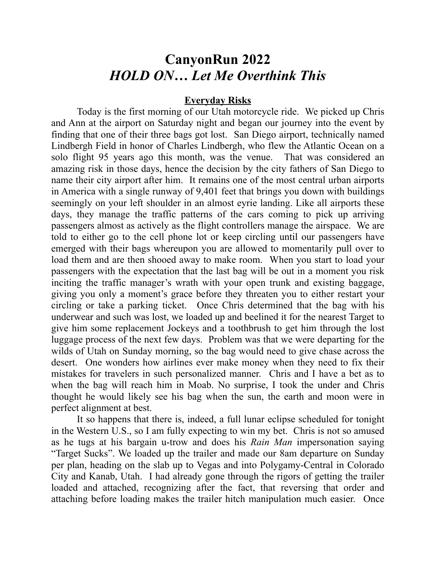# **CanyonRun 2022**  *HOLD ON… Let Me Overthink This*

#### **Everyday Risks**

Today is the first morning of our Utah motorcycle ride. We picked up Chris and Ann at the airport on Saturday night and began our journey into the event by finding that one of their three bags got lost. San Diego airport, technically named Lindbergh Field in honor of Charles Lindbergh, who flew the Atlantic Ocean on a solo flight 95 years ago this month, was the venue. That was considered an amazing risk in those days, hence the decision by the city fathers of San Diego to name their city airport after him. It remains one of the most central urban airports in America with a single runway of 9,401 feet that brings you down with buildings seemingly on your left shoulder in an almost eyrie landing. Like all airports these days, they manage the traffic patterns of the cars coming to pick up arriving passengers almost as actively as the flight controllers manage the airspace. We are told to either go to the cell phone lot or keep circling until our passengers have emerged with their bags whereupon you are allowed to momentarily pull over to load them and are then shooed away to make room. When you start to load your passengers with the expectation that the last bag will be out in a moment you risk inciting the traffic manager's wrath with your open trunk and existing baggage, giving you only a moment's grace before they threaten you to either restart your circling or take a parking ticket. Once Chris determined that the bag with his underwear and such was lost, we loaded up and beelined it for the nearest Target to give him some replacement Jockeys and a toothbrush to get him through the lost luggage process of the next few days. Problem was that we were departing for the wilds of Utah on Sunday morning, so the bag would need to give chase across the desert. One wonders how airlines ever make money when they need to fix their mistakes for travelers in such personalized manner. Chris and I have a bet as to when the bag will reach him in Moab. No surprise, I took the under and Chris thought he would likely see his bag when the sun, the earth and moon were in perfect alignment at best.

It so happens that there is, indeed, a full lunar eclipse scheduled for tonight in the Western U.S., so I am fully expecting to win my bet. Chris is not so amused as he tugs at his bargain u-trow and does his *Rain Man* impersonation saying "Target Sucks". We loaded up the trailer and made our 8am departure on Sunday per plan, heading on the slab up to Vegas and into Polygamy-Central in Colorado City and Kanab, Utah. I had already gone through the rigors of getting the trailer loaded and attached, recognizing after the fact, that reversing that order and attaching before loading makes the trailer hitch manipulation much easier. Once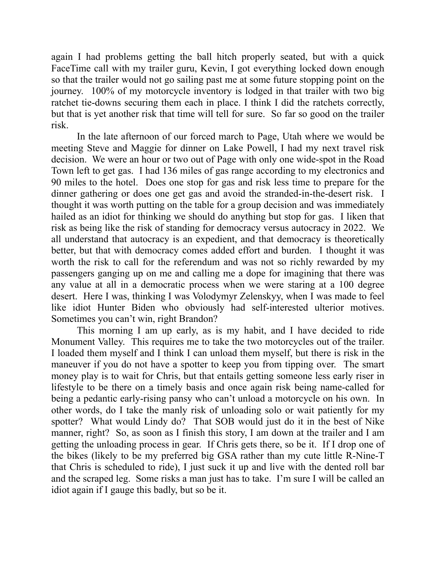again I had problems getting the ball hitch properly seated, but with a quick FaceTime call with my trailer guru, Kevin, I got everything locked down enough so that the trailer would not go sailing past me at some future stopping point on the journey. 100% of my motorcycle inventory is lodged in that trailer with two big ratchet tie-downs securing them each in place. I think I did the ratchets correctly, but that is yet another risk that time will tell for sure. So far so good on the trailer risk.

In the late afternoon of our forced march to Page, Utah where we would be meeting Steve and Maggie for dinner on Lake Powell, I had my next travel risk decision. We were an hour or two out of Page with only one wide-spot in the Road Town left to get gas. I had 136 miles of gas range according to my electronics and 90 miles to the hotel. Does one stop for gas and risk less time to prepare for the dinner gathering or does one get gas and avoid the stranded-in-the-desert risk. I thought it was worth putting on the table for a group decision and was immediately hailed as an idiot for thinking we should do anything but stop for gas. I liken that risk as being like the risk of standing for democracy versus autocracy in 2022. We all understand that autocracy is an expedient, and that democracy is theoretically better, but that with democracy comes added effort and burden. I thought it was worth the risk to call for the referendum and was not so richly rewarded by my passengers ganging up on me and calling me a dope for imagining that there was any value at all in a democratic process when we were staring at a 100 degree desert. Here I was, thinking I was Volodymyr Zelenskyy, when I was made to feel like idiot Hunter Biden who obviously had self-interested ulterior motives. Sometimes you can't win, right Brandon?

This morning I am up early, as is my habit, and I have decided to ride Monument Valley. This requires me to take the two motorcycles out of the trailer. I loaded them myself and I think I can unload them myself, but there is risk in the maneuver if you do not have a spotter to keep you from tipping over. The smart money play is to wait for Chris, but that entails getting someone less early riser in lifestyle to be there on a timely basis and once again risk being name-called for being a pedantic early-rising pansy who can't unload a motorcycle on his own. In other words, do I take the manly risk of unloading solo or wait patiently for my spotter? What would Lindy do? That SOB would just do it in the best of Nike manner, right? So, as soon as I finish this story, I am down at the trailer and I am getting the unloading process in gear. If Chris gets there, so be it. If I drop one of the bikes (likely to be my preferred big GSA rather than my cute little R-Nine-T that Chris is scheduled to ride), I just suck it up and live with the dented roll bar and the scraped leg. Some risks a man just has to take. I'm sure I will be called an idiot again if I gauge this badly, but so be it.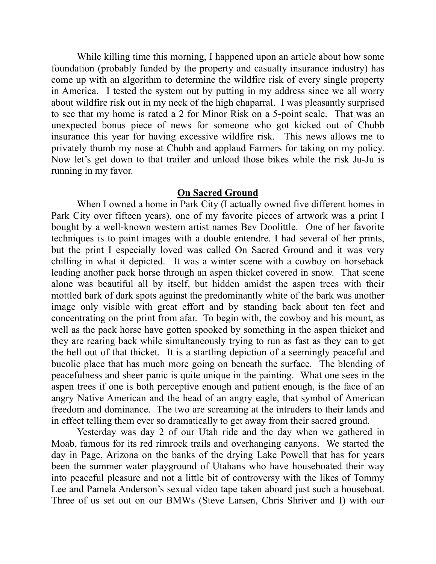While killing time this morning, I happened upon an article about how some foundation (probably funded by the property and casualty insurance industry) has come up with an algorithm to determine the wildfire risk of every single property in America. I tested the system out by putting in my address since we all worry about wildfire risk out in my neck of the high chaparral. I was pleasantly surprised to see that my home is rated a 2 for Minor Risk on a 5-point scale. That was an unexpected bonus piece of news for someone who got kicked out of Chubb insurance this year for having excessive wildfire risk. This news allows me to privately thumb my nose at Chubb and applaud Farmers for taking on my policy. Now let's get down to that trailer and unload those bikes while the risk Ju-Ju is running in my favor.

#### **On Sacred Ground**

When I owned a home in Park City (I actually owned five different homes in Park City over fifteen years), one of my favorite pieces of artwork was a print I bought by a well-known western artist names Bev Doolittle. One of her favorite techniques is to paint images with a double entendre. I had several of her prints, but the print I especially loved was called On Sacred Ground and it was very chilling in what it depicted. It was a winter scene with a cowboy on horseback leading another pack horse through an aspen thicket covered in snow. That scene alone was beautiful all by itself, but hidden amidst the aspen trees with their mottled bark of dark spots against the predominantly white of the bark was another image only visible with great effort and by standing back about ten feet and concentrating on the print from afar. To begin with, the cowboy and his mount, as well as the pack horse have gotten spooked by something in the aspen thicket and they are rearing back while simultaneously trying to run as fast as they can to get the hell out of that thicket. It is a startling depiction of a seemingly peaceful and bucolic place that has much more going on beneath the surface. The blending of peacefulness and sheer panic is quite unique in the painting. What one sees in the aspen trees if one is both perceptive enough and patient enough, is the face of an angry Native American and the head of an angry eagle, that symbol of American freedom and dominance. The two are screaming at the intruders to their lands and in effect telling them ever so dramatically to get away from their sacred ground.

Yesterday was day 2 of our Utah ride and the day when we gathered in Moab, famous for its red rimrock trails and overhanging canyons. We started the day in Page, Arizona on the banks of the drying Lake Powell that has for years been the summer water playground of Utahans who have houseboated their way into peaceful pleasure and not a little bit of controversy with the likes of Tommy Lee and Pamela Anderson's sexual video tape taken aboard just such a houseboat. Three of us set out on our BMWs (Steve Larsen, Chris Shriver and I) with our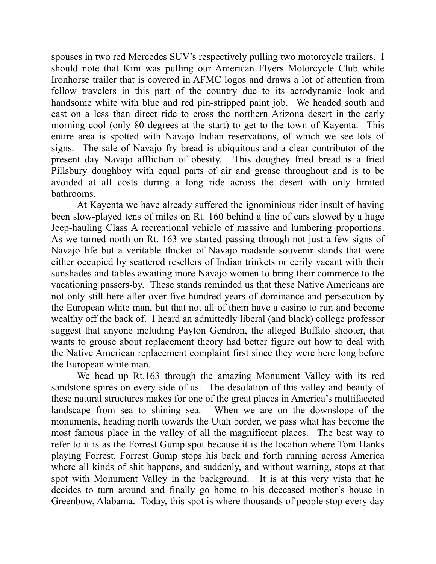spouses in two red Mercedes SUV's respectively pulling two motorcycle trailers. I should note that Kim was pulling our American Flyers Motorcycle Club white Ironhorse trailer that is covered in AFMC logos and draws a lot of attention from fellow travelers in this part of the country due to its aerodynamic look and handsome white with blue and red pin-stripped paint job. We headed south and east on a less than direct ride to cross the northern Arizona desert in the early morning cool (only 80 degrees at the start) to get to the town of Kayenta. This entire area is spotted with Navajo Indian reservations, of which we see lots of signs. The sale of Navajo fry bread is ubiquitous and a clear contributor of the present day Navajo affliction of obesity. This doughey fried bread is a fried Pillsbury doughboy with equal parts of air and grease throughout and is to be avoided at all costs during a long ride across the desert with only limited bathrooms.

At Kayenta we have already suffered the ignominious rider insult of having been slow-played tens of miles on Rt. 160 behind a line of cars slowed by a huge Jeep-hauling Class A recreational vehicle of massive and lumbering proportions. As we turned north on Rt. 163 we started passing through not just a few signs of Navajo life but a veritable thicket of Navajo roadside souvenir stands that were either occupied by scattered resellers of Indian trinkets or eerily vacant with their sunshades and tables awaiting more Navajo women to bring their commerce to the vacationing passers-by. These stands reminded us that these Native Americans are not only still here after over five hundred years of dominance and persecution by the European white man, but that not all of them have a casino to run and become wealthy off the back of. I heard an admittedly liberal (and black) college professor suggest that anyone including Payton Gendron, the alleged Buffalo shooter, that wants to grouse about replacement theory had better figure out how to deal with the Native American replacement complaint first since they were here long before the European white man.

We head up Rt.163 through the amazing Monument Valley with its red sandstone spires on every side of us. The desolation of this valley and beauty of these natural structures makes for one of the great places in America's multifaceted landscape from sea to shining sea. When we are on the downslope of the monuments, heading north towards the Utah border, we pass what has become the most famous place in the valley of all the magnificent places. The best way to refer to it is as the Forrest Gump spot because it is the location where Tom Hanks playing Forrest, Forrest Gump stops his back and forth running across America where all kinds of shit happens, and suddenly, and without warning, stops at that spot with Monument Valley in the background. It is at this very vista that he decides to turn around and finally go home to his deceased mother's house in Greenbow, Alabama. Today, this spot is where thousands of people stop every day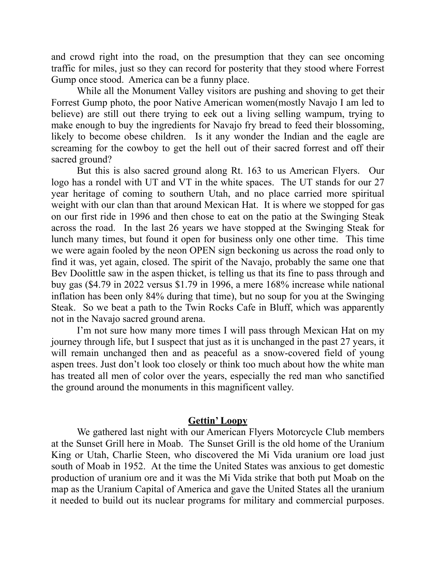and crowd right into the road, on the presumption that they can see oncoming traffic for miles, just so they can record for posterity that they stood where Forrest Gump once stood. America can be a funny place.

While all the Monument Valley visitors are pushing and shoving to get their Forrest Gump photo, the poor Native American women(mostly Navajo I am led to believe) are still out there trying to eek out a living selling wampum, trying to make enough to buy the ingredients for Navajo fry bread to feed their blossoming, likely to become obese children. Is it any wonder the Indian and the eagle are screaming for the cowboy to get the hell out of their sacred forrest and off their sacred ground?

But this is also sacred ground along Rt. 163 to us American Flyers. Our logo has a rondel with UT and VT in the white spaces. The UT stands for our 27 year heritage of coming to southern Utah, and no place carried more spiritual weight with our clan than that around Mexican Hat. It is where we stopped for gas on our first ride in 1996 and then chose to eat on the patio at the Swinging Steak across the road. In the last 26 years we have stopped at the Swinging Steak for lunch many times, but found it open for business only one other time. This time we were again fooled by the neon OPEN sign beckoning us across the road only to find it was, yet again, closed. The spirit of the Navajo, probably the same one that Bev Doolittle saw in the aspen thicket, is telling us that its fine to pass through and buy gas (\$4.79 in 2022 versus \$1.79 in 1996, a mere 168% increase while national inflation has been only 84% during that time), but no soup for you at the Swinging Steak. So we beat a path to the Twin Rocks Cafe in Bluff, which was apparently not in the Navajo sacred ground arena.

I'm not sure how many more times I will pass through Mexican Hat on my journey through life, but I suspect that just as it is unchanged in the past 27 years, it will remain unchanged then and as peaceful as a snow-covered field of young aspen trees. Just don't look too closely or think too much about how the white man has treated all men of color over the years, especially the red man who sanctified the ground around the monuments in this magnificent valley.

#### **Gettin' Loopy**

We gathered last night with our American Flyers Motorcycle Club members at the Sunset Grill here in Moab. The Sunset Grill is the old home of the Uranium King or Utah, Charlie Steen, who discovered the Mi Vida uranium ore load just south of Moab in 1952. At the time the United States was anxious to get domestic production of uranium ore and it was the Mi Vida strike that both put Moab on the map as the Uranium Capital of America and gave the United States all the uranium it needed to build out its nuclear programs for military and commercial purposes.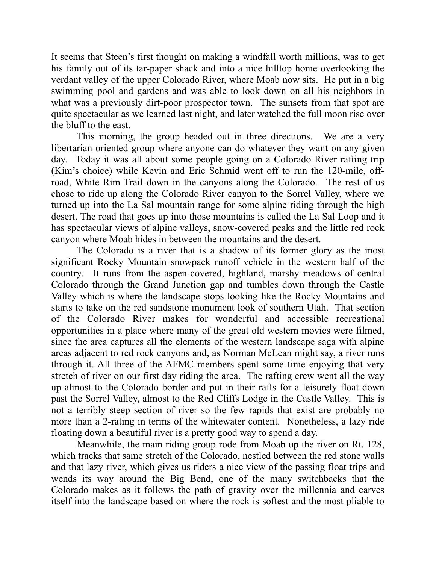It seems that Steen's first thought on making a windfall worth millions, was to get his family out of its tar-paper shack and into a nice hilltop home overlooking the verdant valley of the upper Colorado River, where Moab now sits. He put in a big swimming pool and gardens and was able to look down on all his neighbors in what was a previously dirt-poor prospector town. The sunsets from that spot are quite spectacular as we learned last night, and later watched the full moon rise over the bluff to the east.

This morning, the group headed out in three directions. We are a very libertarian-oriented group where anyone can do whatever they want on any given day. Today it was all about some people going on a Colorado River rafting trip (Kim's choice) while Kevin and Eric Schmid went off to run the 120-mile, offroad, White Rim Trail down in the canyons along the Colorado. The rest of us chose to ride up along the Colorado River canyon to the Sorrel Valley, where we turned up into the La Sal mountain range for some alpine riding through the high desert. The road that goes up into those mountains is called the La Sal Loop and it has spectacular views of alpine valleys, snow-covered peaks and the little red rock canyon where Moab hides in between the mountains and the desert.

The Colorado is a river that is a shadow of its former glory as the most significant Rocky Mountain snowpack runoff vehicle in the western half of the country. It runs from the aspen-covered, highland, marshy meadows of central Colorado through the Grand Junction gap and tumbles down through the Castle Valley which is where the landscape stops looking like the Rocky Mountains and starts to take on the red sandstone monument look of southern Utah. That section of the Colorado River makes for wonderful and accessible recreational opportunities in a place where many of the great old western movies were filmed, since the area captures all the elements of the western landscape saga with alpine areas adjacent to red rock canyons and, as Norman McLean might say, a river runs through it. All three of the AFMC members spent some time enjoying that very stretch of river on our first day riding the area. The rafting crew went all the way up almost to the Colorado border and put in their rafts for a leisurely float down past the Sorrel Valley, almost to the Red Cliffs Lodge in the Castle Valley. This is not a terribly steep section of river so the few rapids that exist are probably no more than a 2-rating in terms of the whitewater content. Nonetheless, a lazy ride floating down a beautiful river is a pretty good way to spend a day.

Meanwhile, the main riding group rode from Moab up the river on Rt. 128, which tracks that same stretch of the Colorado, nestled between the red stone walls and that lazy river, which gives us riders a nice view of the passing float trips and wends its way around the Big Bend, one of the many switchbacks that the Colorado makes as it follows the path of gravity over the millennia and carves itself into the landscape based on where the rock is softest and the most pliable to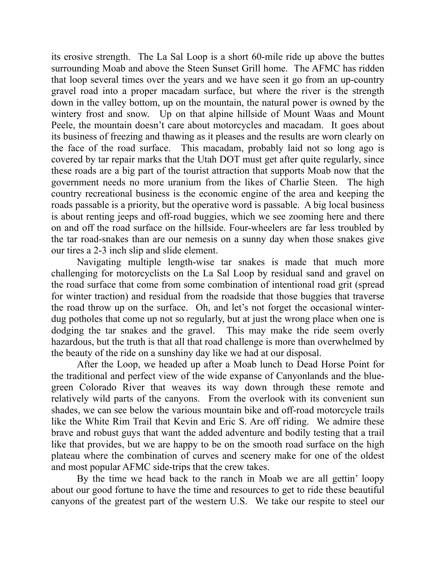its erosive strength. The La Sal Loop is a short 60-mile ride up above the buttes surrounding Moab and above the Steen Sunset Grill home. The AFMC has ridden that loop several times over the years and we have seen it go from an up-country gravel road into a proper macadam surface, but where the river is the strength down in the valley bottom, up on the mountain, the natural power is owned by the wintery frost and snow. Up on that alpine hillside of Mount Waas and Mount Peele, the mountain doesn't care about motorcycles and macadam. It goes about its business of freezing and thawing as it pleases and the results are worn clearly on the face of the road surface. This macadam, probably laid not so long ago is covered by tar repair marks that the Utah DOT must get after quite regularly, since these roads are a big part of the tourist attraction that supports Moab now that the government needs no more uranium from the likes of Charlie Steen. The high country recreational business is the economic engine of the area and keeping the roads passable is a priority, but the operative word is passable. A big local business is about renting jeeps and off-road buggies, which we see zooming here and there on and off the road surface on the hillside. Four-wheelers are far less troubled by the tar road-snakes than are our nemesis on a sunny day when those snakes give our tires a 2-3 inch slip and slide element.

Navigating multiple length-wise tar snakes is made that much more challenging for motorcyclists on the La Sal Loop by residual sand and gravel on the road surface that come from some combination of intentional road grit (spread for winter traction) and residual from the roadside that those buggies that traverse the road throw up on the surface. Oh, and let's not forget the occasional winterdug potholes that come up not so regularly, but at just the wrong place when one is dodging the tar snakes and the gravel. This may make the ride seem overly hazardous, but the truth is that all that road challenge is more than overwhelmed by the beauty of the ride on a sunshiny day like we had at our disposal.

After the Loop, we headed up after a Moab lunch to Dead Horse Point for the traditional and perfect view of the wide expanse of Canyonlands and the bluegreen Colorado River that weaves its way down through these remote and relatively wild parts of the canyons. From the overlook with its convenient sun shades, we can see below the various mountain bike and off-road motorcycle trails like the White Rim Trail that Kevin and Eric S. Are off riding. We admire these brave and robust guys that want the added adventure and bodily testing that a trail like that provides, but we are happy to be on the smooth road surface on the high plateau where the combination of curves and scenery make for one of the oldest and most popular AFMC side-trips that the crew takes.

By the time we head back to the ranch in Moab we are all gettin' loopy about our good fortune to have the time and resources to get to ride these beautiful canyons of the greatest part of the western U.S. We take our respite to steel our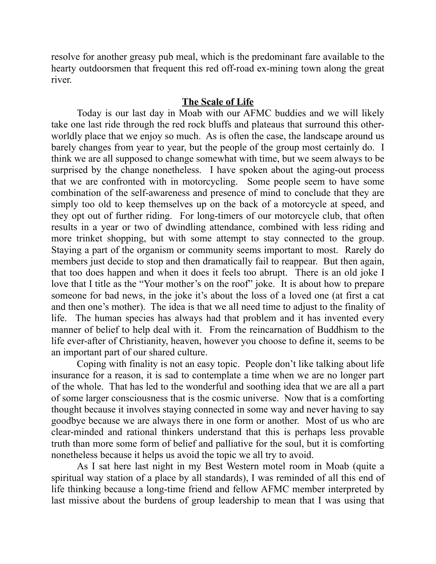resolve for another greasy pub meal, which is the predominant fare available to the hearty outdoorsmen that frequent this red off-road ex-mining town along the great river.

## **The Scale of Life**

Today is our last day in Moab with our AFMC buddies and we will likely take one last ride through the red rock bluffs and plateaus that surround this otherworldly place that we enjoy so much. As is often the case, the landscape around us barely changes from year to year, but the people of the group most certainly do. I think we are all supposed to change somewhat with time, but we seem always to be surprised by the change nonetheless. I have spoken about the aging-out process that we are confronted with in motorcycling. Some people seem to have some combination of the self-awareness and presence of mind to conclude that they are simply too old to keep themselves up on the back of a motorcycle at speed, and they opt out of further riding. For long-timers of our motorcycle club, that often results in a year or two of dwindling attendance, combined with less riding and more trinket shopping, but with some attempt to stay connected to the group. Staying a part of the organism or community seems important to most. Rarely do members just decide to stop and then dramatically fail to reappear. But then again, that too does happen and when it does it feels too abrupt. There is an old joke I love that I title as the "Your mother's on the roof" joke. It is about how to prepare someone for bad news, in the joke it's about the loss of a loved one (at first a cat and then one's mother). The idea is that we all need time to adjust to the finality of life. The human species has always had that problem and it has invented every manner of belief to help deal with it. From the reincarnation of Buddhism to the life ever-after of Christianity, heaven, however you choose to define it, seems to be an important part of our shared culture.

Coping with finality is not an easy topic. People don't like talking about life insurance for a reason, it is sad to contemplate a time when we are no longer part of the whole. That has led to the wonderful and soothing idea that we are all a part of some larger consciousness that is the cosmic universe. Now that is a comforting thought because it involves staying connected in some way and never having to say goodbye because we are always there in one form or another. Most of us who are clear-minded and rational thinkers understand that this is perhaps less provable truth than more some form of belief and palliative for the soul, but it is comforting nonetheless because it helps us avoid the topic we all try to avoid.

As I sat here last night in my Best Western motel room in Moab (quite a spiritual way station of a place by all standards), I was reminded of all this end of life thinking because a long-time friend and fellow AFMC member interpreted by last missive about the burdens of group leadership to mean that I was using that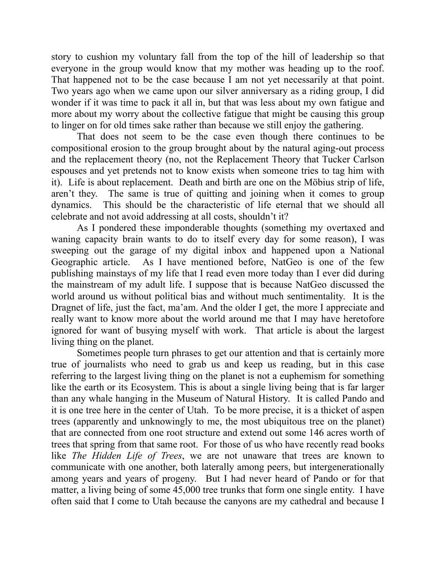story to cushion my voluntary fall from the top of the hill of leadership so that everyone in the group would know that my mother was heading up to the roof. That happened not to be the case because I am not yet necessarily at that point. Two years ago when we came upon our silver anniversary as a riding group, I did wonder if it was time to pack it all in, but that was less about my own fatigue and more about my worry about the collective fatigue that might be causing this group to linger on for old times sake rather than because we still enjoy the gathering.

That does not seem to be the case even though there continues to be compositional erosion to the group brought about by the natural aging-out process and the replacement theory (no, not the Replacement Theory that Tucker Carlson espouses and yet pretends not to know exists when someone tries to tag him with it). Life is about replacement. Death and birth are one on the Möbius strip of life, aren't they. The same is true of quitting and joining when it comes to group dynamics. This should be the characteristic of life eternal that we should all celebrate and not avoid addressing at all costs, shouldn't it?

As I pondered these imponderable thoughts (something my overtaxed and waning capacity brain wants to do to itself every day for some reason), I was sweeping out the garage of my digital inbox and happened upon a National Geographic article. As I have mentioned before, NatGeo is one of the few publishing mainstays of my life that I read even more today than I ever did during the mainstream of my adult life. I suppose that is because NatGeo discussed the world around us without political bias and without much sentimentality. It is the Dragnet of life, just the fact, ma'am. And the older I get, the more I appreciate and really want to know more about the world around me that I may have heretofore ignored for want of busying myself with work. That article is about the largest living thing on the planet.

Sometimes people turn phrases to get our attention and that is certainly more true of journalists who need to grab us and keep us reading, but in this case referring to the largest living thing on the planet is not a euphemism for something like the earth or its Ecosystem. This is about a single living being that is far larger than any whale hanging in the Museum of Natural History. It is called Pando and it is one tree here in the center of Utah. To be more precise, it is a thicket of aspen trees (apparently and unknowingly to me, the most ubiquitous tree on the planet) that are connected from one root structure and extend out some 146 acres worth of trees that spring from that same root. For those of us who have recently read books like *The Hidden Life of Trees*, we are not unaware that trees are known to communicate with one another, both laterally among peers, but intergenerationally among years and years of progeny. But I had never heard of Pando or for that matter, a living being of some 45,000 tree trunks that form one single entity. I have often said that I come to Utah because the canyons are my cathedral and because I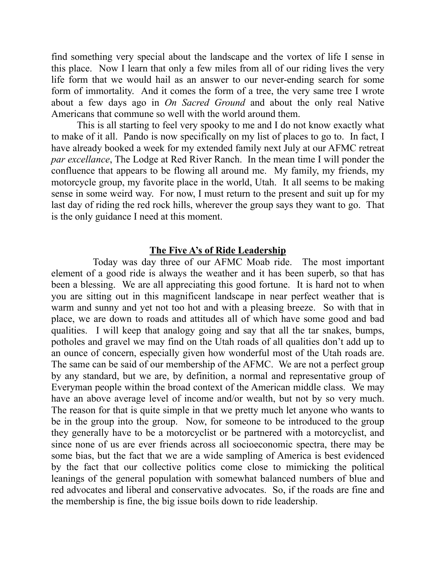find something very special about the landscape and the vortex of life I sense in this place. Now I learn that only a few miles from all of our riding lives the very life form that we would hail as an answer to our never-ending search for some form of immortality. And it comes the form of a tree, the very same tree I wrote about a few days ago in *On Sacred Ground* and about the only real Native Americans that commune so well with the world around them.

This is all starting to feel very spooky to me and I do not know exactly what to make of it all. Pando is now specifically on my list of places to go to. In fact, I have already booked a week for my extended family next July at our AFMC retreat *par excellance*, The Lodge at Red River Ranch. In the mean time I will ponder the confluence that appears to be flowing all around me. My family, my friends, my motorcycle group, my favorite place in the world, Utah. It all seems to be making sense in some weird way. For now, I must return to the present and suit up for my last day of riding the red rock hills, wherever the group says they want to go. That is the only guidance I need at this moment.

## **The Five A's of Ride Leadership**

Today was day three of our AFMC Moab ride. The most important element of a good ride is always the weather and it has been superb, so that has been a blessing. We are all appreciating this good fortune. It is hard not to when you are sitting out in this magnificent landscape in near perfect weather that is warm and sunny and yet not too hot and with a pleasing breeze. So with that in place, we are down to roads and attitudes all of which have some good and bad qualities. I will keep that analogy going and say that all the tar snakes, bumps, potholes and gravel we may find on the Utah roads of all qualities don't add up to an ounce of concern, especially given how wonderful most of the Utah roads are. The same can be said of our membership of the AFMC. We are not a perfect group by any standard, but we are, by definition, a normal and representative group of Everyman people within the broad context of the American middle class. We may have an above average level of income and/or wealth, but not by so very much. The reason for that is quite simple in that we pretty much let anyone who wants to be in the group into the group. Now, for someone to be introduced to the group they generally have to be a motorcyclist or be partnered with a motorcyclist, and since none of us are ever friends across all socioeconomic spectra, there may be some bias, but the fact that we are a wide sampling of America is best evidenced by the fact that our collective politics come close to mimicking the political leanings of the general population with somewhat balanced numbers of blue and red advocates and liberal and conservative advocates. So, if the roads are fine and the membership is fine, the big issue boils down to ride leadership.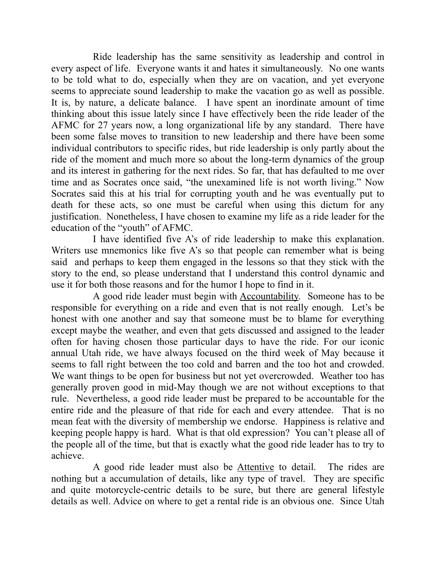Ride leadership has the same sensitivity as leadership and control in every aspect of life. Everyone wants it and hates it simultaneously. No one wants to be told what to do, especially when they are on vacation, and yet everyone seems to appreciate sound leadership to make the vacation go as well as possible. It is, by nature, a delicate balance. I have spent an inordinate amount of time thinking about this issue lately since I have effectively been the ride leader of the AFMC for 27 years now, a long organizational life by any standard. There have been some false moves to transition to new leadership and there have been some individual contributors to specific rides, but ride leadership is only partly about the ride of the moment and much more so about the long-term dynamics of the group and its interest in gathering for the next rides. So far, that has defaulted to me over time and as Socrates once said, "the unexamined life is not worth living." Now Socrates said this at his trial for corrupting youth and he was eventually put to death for these acts, so one must be careful when using this dictum for any justification. Nonetheless, I have chosen to examine my life as a ride leader for the education of the "youth" of AFMC.

I have identified five A's of ride leadership to make this explanation. Writers use mnemonics like five A's so that people can remember what is being said and perhaps to keep them engaged in the lessons so that they stick with the story to the end, so please understand that I understand this control dynamic and use it for both those reasons and for the humor I hope to find in it.

A good ride leader must begin with Accountability. Someone has to be responsible for everything on a ride and even that is not really enough. Let's be honest with one another and say that someone must be to blame for everything except maybe the weather, and even that gets discussed and assigned to the leader often for having chosen those particular days to have the ride. For our iconic annual Utah ride, we have always focused on the third week of May because it seems to fall right between the too cold and barren and the too hot and crowded. We want things to be open for business but not yet overcrowded. Weather too has generally proven good in mid-May though we are not without exceptions to that rule. Nevertheless, a good ride leader must be prepared to be accountable for the entire ride and the pleasure of that ride for each and every attendee. That is no mean feat with the diversity of membership we endorse. Happiness is relative and keeping people happy is hard. What is that old expression? You can't please all of the people all of the time, but that is exactly what the good ride leader has to try to achieve.

A good ride leader must also be Attentive to detail. The rides are nothing but a accumulation of details, like any type of travel. They are specific and quite motorcycle-centric details to be sure, but there are general lifestyle details as well. Advice on where to get a rental ride is an obvious one. Since Utah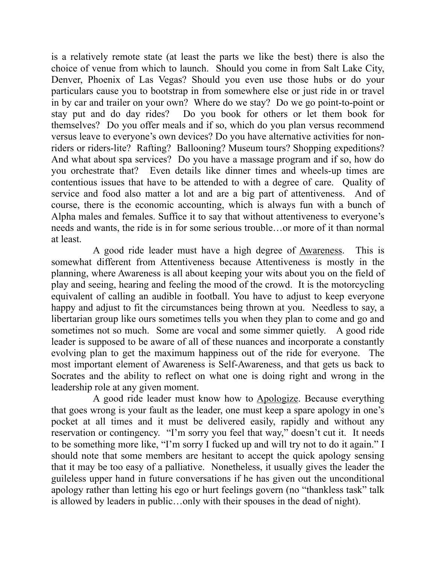is a relatively remote state (at least the parts we like the best) there is also the choice of venue from which to launch. Should you come in from Salt Lake City, Denver, Phoenix of Las Vegas? Should you even use those hubs or do your particulars cause you to bootstrap in from somewhere else or just ride in or travel in by car and trailer on your own? Where do we stay? Do we go point-to-point or stay put and do day rides? Do you book for others or let them book for themselves? Do you offer meals and if so, which do you plan versus recommend versus leave to everyone's own devices? Do you have alternative activities for nonriders or riders-lite? Rafting? Ballooning? Museum tours? Shopping expeditions? And what about spa services? Do you have a massage program and if so, how do you orchestrate that? Even details like dinner times and wheels-up times are contentious issues that have to be attended to with a degree of care. Quality of service and food also matter a lot and are a big part of attentiveness. And of course, there is the economic accounting, which is always fun with a bunch of Alpha males and females. Suffice it to say that without attentiveness to everyone's needs and wants, the ride is in for some serious trouble…or more of it than normal at least.

A good ride leader must have a high degree of Awareness. This is somewhat different from Attentiveness because Attentiveness is mostly in the planning, where Awareness is all about keeping your wits about you on the field of play and seeing, hearing and feeling the mood of the crowd. It is the motorcycling equivalent of calling an audible in football. You have to adjust to keep everyone happy and adjust to fit the circumstances being thrown at you. Needless to say, a libertarian group like ours sometimes tells you when they plan to come and go and sometimes not so much. Some are vocal and some simmer quietly. A good ride leader is supposed to be aware of all of these nuances and incorporate a constantly evolving plan to get the maximum happiness out of the ride for everyone. The most important element of Awareness is Self-Awareness, and that gets us back to Socrates and the ability to reflect on what one is doing right and wrong in the leadership role at any given moment.

A good ride leader must know how to Apologize. Because everything that goes wrong is your fault as the leader, one must keep a spare apology in one's pocket at all times and it must be delivered easily, rapidly and without any reservation or contingency. "I'm sorry you feel that way," doesn't cut it. It needs to be something more like, "I'm sorry I fucked up and will try not to do it again." I should note that some members are hesitant to accept the quick apology sensing that it may be too easy of a palliative. Nonetheless, it usually gives the leader the guileless upper hand in future conversations if he has given out the unconditional apology rather than letting his ego or hurt feelings govern (no "thankless task" talk is allowed by leaders in public…only with their spouses in the dead of night).